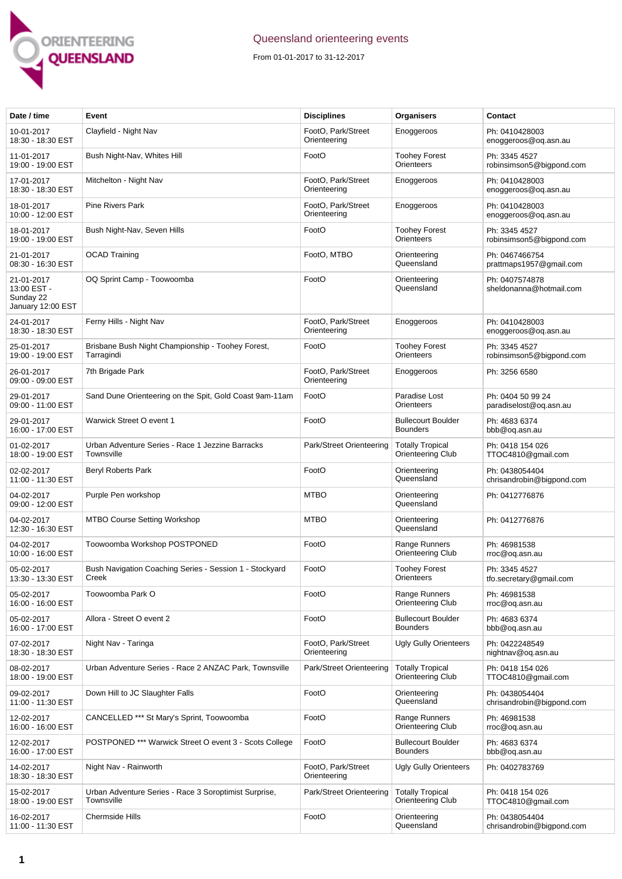

## Queensland orienteering events

From 01-01-2017 to 31-12-2017

| Date / time                                                 | Event                                                               | <b>Disciplines</b>                 | Organisers                                          | Contact                                     |
|-------------------------------------------------------------|---------------------------------------------------------------------|------------------------------------|-----------------------------------------------------|---------------------------------------------|
| 10-01-2017<br>18:30 - 18:30 EST                             | Clayfield - Night Nav                                               | FootO, Park/Street<br>Orienteering | Enoggeroos                                          | Ph: 0410428003<br>enoggeroos@oq.asn.au      |
| 11-01-2017<br>19:00 - 19:00 EST                             | Bush Night-Nav, Whites Hill                                         | FootO                              | <b>Toohey Forest</b><br>Orienteers                  | Ph: 3345 4527<br>robinsimson5@bigpond.com   |
| 17-01-2017<br>18:30 - 18:30 EST                             | Mitchelton - Night Nav                                              | FootO, Park/Street<br>Orienteering | Enoggeroos                                          | Ph: 0410428003<br>enoggeroos@oq.asn.au      |
| 18-01-2017<br>10:00 - 12:00 EST                             | <b>Pine Rivers Park</b>                                             | FootO, Park/Street<br>Orienteering | Enoggeroos                                          | Ph: 0410428003<br>enoggeroos@og.asn.au      |
| 18-01-2017<br>19:00 - 19:00 EST                             | Bush Night-Nav, Seven Hills                                         | FootO                              | <b>Toohey Forest</b><br>Orienteers                  | Ph: 3345 4527<br>robinsimson5@bigpond.com   |
| 21-01-2017<br>08:30 - 16:30 EST                             | <b>OCAD Training</b>                                                | FootO, MTBO                        | Orienteering<br>Queensland                          | Ph: 0467466754<br>prattmaps1957@gmail.com   |
| 21-01-2017<br>13:00 EST -<br>Sunday 22<br>January 12:00 EST | OQ Sprint Camp - Toowoomba                                          | FootO                              | Orienteering<br>Queensland                          | Ph: 0407574878<br>sheldonanna@hotmail.com   |
| 24-01-2017<br>18:30 - 18:30 EST                             | Ferny Hills - Night Nav                                             | FootO, Park/Street<br>Orienteering | Enoggeroos                                          | Ph: 0410428003<br>enoggeroos@oq.asn.au      |
| 25-01-2017<br>19:00 - 19:00 EST                             | Brisbane Bush Night Championship - Toohey Forest,<br>Tarragindi     | FootO                              | <b>Toohey Forest</b><br>Orienteers                  | Ph: 3345 4527<br>robinsimson5@bigpond.com   |
| 26-01-2017<br>09:00 - 09:00 EST                             | 7th Brigade Park                                                    | FootO, Park/Street<br>Orienteering | Enoggeroos                                          | Ph: 3256 6580                               |
| 29-01-2017<br>09:00 - 11:00 EST                             | Sand Dune Orienteering on the Spit, Gold Coast 9am-11am             | FootO                              | Paradise Lost<br>Orienteers                         | Ph: 0404 50 99 24<br>paradiselost@oq.asn.au |
| 29-01-2017<br>16:00 - 17:00 EST                             | Warwick Street O event 1                                            | FootO                              | <b>Bullecourt Boulder</b><br><b>Bounders</b>        | Ph: 4683 6374<br>bbb@oq.asn.au              |
| 01-02-2017<br>18:00 - 19:00 EST                             | Urban Adventure Series - Race 1 Jezzine Barracks<br>Townsville      | Park/Street Orienteering           | <b>Totally Tropical</b><br>Orienteering Club        | Ph: 0418 154 026<br>TTOC4810@gmail.com      |
| 02-02-2017<br>11:00 - 11:30 EST                             | Beryl Roberts Park                                                  | FootO                              | Orienteering<br>Queensland                          | Ph: 0438054404<br>chrisandrobin@bigpond.com |
| 04-02-2017<br>09:00 - 12:00 EST                             | Purple Pen workshop                                                 | <b>MTBO</b>                        | Orienteering<br>Queensland                          | Ph: 0412776876                              |
| 04-02-2017<br>12:30 - 16:30 EST                             | <b>MTBO Course Setting Workshop</b>                                 | <b>MTBO</b>                        | Orienteering<br>Queensland                          | Ph: 0412776876                              |
| 04-02-2017<br>10:00 - 16:00 EST                             | Toowoomba Workshop POSTPONED                                        | FootO                              | Range Runners<br>Orienteering Club                  | Ph: 46981538<br>rroc@oq.asn.au              |
| 05-02-2017<br>13:30 - 13:30 EST                             | Bush Navigation Coaching Series - Session 1 - Stockyard<br>Creek    | FootO                              | <b>Toohey Forest</b><br>Orienteers                  | Ph: 3345 4527<br>tfo.secretary@gmail.com    |
| 05-02-2017<br>16:00 - 16:00 EST                             | Toowoomba Park O                                                    | FootO                              | Range Runners<br><b>Orienteering Club</b>           | Ph: 46981538<br>rroc@og.asn.au              |
| 05-02-2017<br>16:00 - 17:00 EST                             | Allora - Street O event 2                                           | FootO                              | <b>Bullecourt Boulder</b><br><b>Bounders</b>        | Ph: 4683 6374<br>bbb@oq.asn.au              |
| 07-02-2017<br>18:30 - 18:30 EST                             | Night Nav - Taringa                                                 | FootO, Park/Street<br>Orienteering | <b>Ugly Gully Orienteers</b>                        | Ph: 0422248549<br>nightnav@oq.asn.au        |
| 08-02-2017<br>18:00 - 19:00 EST                             | Urban Adventure Series - Race 2 ANZAC Park, Townsville              | Park/Street Orienteering           | <b>Totally Tropical</b><br><b>Orienteering Club</b> | Ph: 0418 154 026<br>TTOC4810@gmail.com      |
| 09-02-2017<br>11:00 - 11:30 EST                             | Down Hill to JC Slaughter Falls                                     | FootO                              | Orienteering<br>Queensland                          | Ph: 0438054404<br>chrisandrobin@bigpond.com |
| 12-02-2017<br>16:00 - 16:00 EST                             | CANCELLED *** St Mary's Sprint, Toowoomba                           | FootO                              | Range Runners<br>Orienteering Club                  | Ph: 46981538<br>rroc@oq.asn.au              |
| 12-02-2017<br>16:00 - 17:00 EST                             | POSTPONED *** Warwick Street O event 3 - Scots College              | FootO                              | <b>Bullecourt Boulder</b><br><b>Bounders</b>        | Ph: 4683 6374<br>bbb@oq.asn.au              |
| 14-02-2017<br>18:30 - 18:30 EST                             | Night Nav - Rainworth                                               | FootO, Park/Street<br>Orienteering | <b>Ugly Gully Orienteers</b>                        | Ph: 0402783769                              |
| 15-02-2017<br>18:00 - 19:00 EST                             | Urban Adventure Series - Race 3 Soroptimist Surprise,<br>Townsville | Park/Street Orienteering           | <b>Totally Tropical</b><br><b>Orienteering Club</b> | Ph: 0418 154 026<br>TTOC4810@gmail.com      |
| 16-02-2017<br>11:00 - 11:30 EST                             | Chermside Hills                                                     | FootO                              | Orienteering<br>Queensland                          | Ph: 0438054404<br>chrisandrobin@bigpond.com |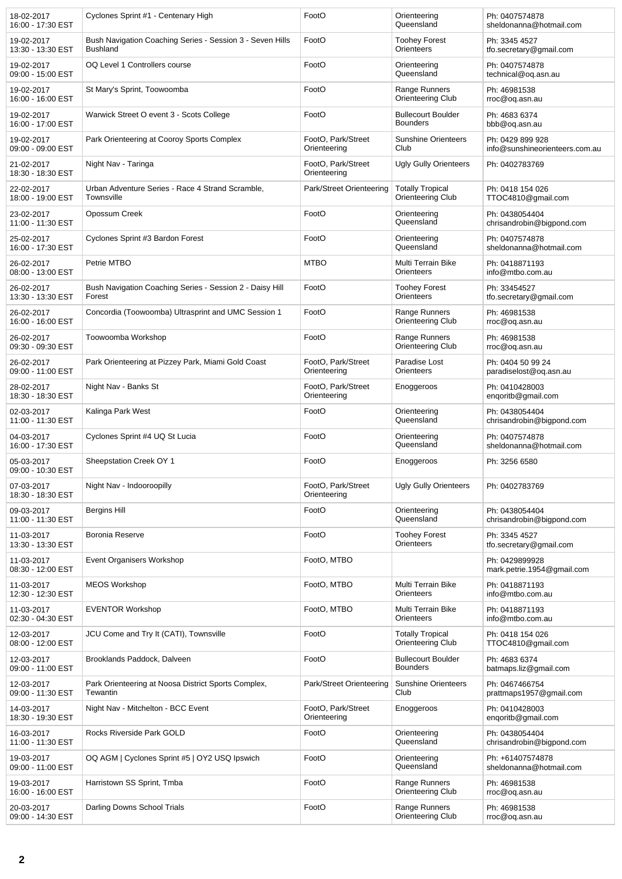| 18-02-2017<br>16:00 - 17:30 EST | Cyclones Sprint #1 - Centenary High                                          | FootO                              | Orienteering<br>Queensland                   | Ph: 0407574878<br>sheldonanna@hotmail.com          |
|---------------------------------|------------------------------------------------------------------------------|------------------------------------|----------------------------------------------|----------------------------------------------------|
| 19-02-2017<br>13:30 - 13:30 EST | Bush Navigation Coaching Series - Session 3 - Seven Hills<br><b>Bushland</b> | FootO                              | <b>Toohey Forest</b><br>Orienteers           | Ph: 3345 4527<br>tfo.secretary@gmail.com           |
| 19-02-2017<br>09:00 - 15:00 EST | OQ Level 1 Controllers course                                                | FootO                              | Orienteering<br>Queensland                   | Ph: 0407574878<br>technical@oq.asn.au              |
| 19-02-2017<br>16:00 - 16:00 EST | St Mary's Sprint, Toowoomba                                                  | FootO                              | Range Runners<br>Orienteering Club           | Ph: 46981538<br>rroc@og.asn.au                     |
| 19-02-2017<br>16:00 - 17:00 EST | Warwick Street O event 3 - Scots College                                     | FootO                              | <b>Bullecourt Boulder</b><br><b>Bounders</b> | Ph: 4683 6374<br>bbb@oq.asn.au                     |
| 19-02-2017<br>09:00 - 09:00 EST | Park Orienteering at Cooroy Sports Complex                                   | FootO, Park/Street<br>Orienteering | <b>Sunshine Orienteers</b><br>Club           | Ph: 0429 899 928<br>info@sunshineorienteers.com.au |
| 21-02-2017<br>18:30 - 18:30 EST | Night Nav - Taringa                                                          | FootO, Park/Street<br>Orienteering | <b>Ugly Gully Orienteers</b>                 | Ph: 0402783769                                     |
| 22-02-2017<br>18:00 - 19:00 EST | Urban Adventure Series - Race 4 Strand Scramble,<br>Townsville               | Park/Street Orienteering           | <b>Totally Tropical</b><br>Orienteering Club | Ph: 0418 154 026<br>TTOC4810@gmail.com             |
| 23-02-2017<br>11:00 - 11:30 EST | Opossum Creek                                                                | FootO                              | Orienteering<br>Queensland                   | Ph: 0438054404<br>chrisandrobin@bigpond.com        |
| 25-02-2017<br>16:00 - 17:30 EST | Cyclones Sprint #3 Bardon Forest                                             | FootO                              | Orienteering<br>Queensland                   | Ph: 0407574878<br>sheldonanna@hotmail.com          |
| 26-02-2017<br>08:00 - 13:00 EST | Petrie MTBO                                                                  | <b>MTBO</b>                        | Multi Terrain Bike<br>Orienteers             | Ph: 0418871193<br>info@mtbo.com.au                 |
| 26-02-2017<br>13:30 - 13:30 EST | Bush Navigation Coaching Series - Session 2 - Daisy Hill<br>Forest           | FootO                              | <b>Toohey Forest</b><br>Orienteers           | Ph: 33454527<br>tfo.secretary@gmail.com            |
| 26-02-2017<br>16:00 - 16:00 EST | Concordia (Toowoomba) Ultrasprint and UMC Session 1                          | FootO                              | Range Runners<br>Orienteering Club           | Ph: 46981538<br>rroc@oq.asn.au                     |
| 26-02-2017<br>09:30 - 09:30 EST | Toowoomba Workshop                                                           | FootO                              | Range Runners<br>Orienteering Club           | Ph: 46981538<br>rroc@oq.asn.au                     |
| 26-02-2017<br>09:00 - 11:00 EST | Park Orienteering at Pizzey Park, Miami Gold Coast                           | FootO, Park/Street<br>Orienteering | Paradise Lost<br>Orienteers                  | Ph: 0404 50 99 24<br>paradiselost@oq.asn.au        |
| 28-02-2017<br>18:30 - 18:30 EST | Night Nav - Banks St                                                         | FootO, Park/Street<br>Orienteering | Enoggeroos                                   | Ph: 0410428003<br>engoritb@gmail.com               |
| 02-03-2017<br>11:00 - 11:30 EST | Kalinga Park West                                                            | FootO                              | Orienteering<br>Queensland                   | Ph: 0438054404<br>chrisandrobin@bigpond.com        |
| 04-03-2017<br>16:00 - 17:30 EST | Cyclones Sprint #4 UQ St Lucia                                               | FootO                              | Orienteering<br>Queensland                   | Ph: 0407574878<br>sheldonanna@hotmail.com          |
| 05-03-2017<br>09:00 - 10:30 EST | Sheepstation Creek OY 1                                                      | FootO                              | Enoggeroos                                   | Ph: 3256 6580                                      |
| 07-03-2017<br>18:30 - 18:30 EST | Night Nav - Indooroopilly                                                    | FootO. Park/Street<br>Orienteering | <b>Ugly Gully Orienteers</b>                 | Ph: 0402783769                                     |
| 09-03-2017<br>11:00 - 11:30 EST | Bergins Hill                                                                 | FootO                              | Orienteering<br>Queensland                   | Ph: 0438054404<br>chrisandrobin@bigpond.com        |
| 11-03-2017<br>13:30 - 13:30 EST | Boronia Reserve                                                              | FootO                              | <b>Toohey Forest</b><br>Orienteers           | Ph: 3345 4527<br>tfo.secretary@gmail.com           |
| 11-03-2017<br>08:30 - 12:00 EST | Event Organisers Workshop                                                    | FootO, MTBO                        |                                              | Ph: 0429899928<br>mark.petrie.1954@gmail.com       |
| 11-03-2017<br>12:30 - 12:30 EST | <b>MEOS Workshop</b>                                                         | FootO, MTBO                        | Multi Terrain Bike<br>Orienteers             | Ph: 0418871193<br>info@mtbo.com.au                 |
| 11-03-2017<br>02:30 - 04:30 EST | <b>EVENTOR Workshop</b>                                                      | FootO, MTBO                        | Multi Terrain Bike<br>Orienteers             | Ph: 0418871193<br>info@mtbo.com.au                 |
| 12-03-2017<br>08:00 - 12:00 EST | JCU Come and Try It (CATI), Townsville                                       | FootO                              | <b>Totally Tropical</b><br>Orienteering Club | Ph: 0418 154 026<br>TTOC4810@gmail.com             |
| 12-03-2017<br>09:00 - 11:00 EST | Brooklands Paddock, Dalveen                                                  | FootO                              | <b>Bullecourt Boulder</b><br><b>Bounders</b> | Ph: 4683 6374<br>batmaps.liz@gmail.com             |
| 12-03-2017<br>09:00 - 11:30 EST | Park Orienteering at Noosa District Sports Complex,<br>Tewantin              | Park/Street Orienteering           | <b>Sunshine Orienteers</b><br>Club           | Ph: 0467466754<br>prattmaps1957@gmail.com          |
| 14-03-2017<br>18:30 - 19:30 EST | Night Nav - Mitchelton - BCC Event                                           | FootO, Park/Street<br>Orienteering | Enoggeroos                                   | Ph: 0410428003<br>enqoritb@gmail.com               |
| 16-03-2017<br>11:00 - 11:30 EST | Rocks Riverside Park GOLD                                                    | FootO                              | Orienteering<br>Queensland                   | Ph: 0438054404<br>chrisandrobin@bigpond.com        |
| 19-03-2017<br>09:00 - 11:00 EST | OQ AGM   Cyclones Sprint #5   OY2 USQ Ipswich                                | FootO                              | Orienteering<br>Queensland                   | Ph: +61407574878<br>sheldonanna@hotmail.com        |
| 19-03-2017<br>16:00 - 16:00 EST | Harristown SS Sprint, Tmba                                                   | FootO                              | Range Runners<br>Orienteering Club           | Ph: 46981538<br>rroc@oq.asn.au                     |
| 20-03-2017<br>09:00 - 14:30 EST | Darling Downs School Trials                                                  | FootO                              | Range Runners<br>Orienteering Club           | Ph: 46981538<br>rroc@oq.asn.au                     |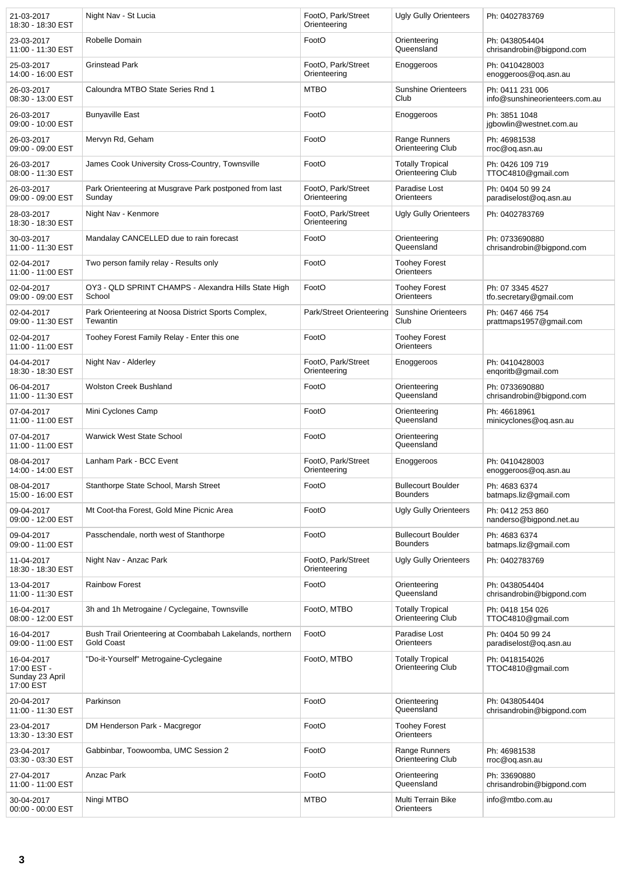| 21-03-2017<br>18:30 - 18:30 EST                           | Night Nav - St Lucia                                                          | FootO. Park/Street<br>Orienteering | <b>Ugly Gully Orienteers</b>                 | Ph: 0402783769                                     |
|-----------------------------------------------------------|-------------------------------------------------------------------------------|------------------------------------|----------------------------------------------|----------------------------------------------------|
| 23-03-2017<br>11:00 - 11:30 EST                           | Robelle Domain                                                                | FootO                              | Orienteering<br>Queensland                   | Ph: 0438054404<br>chrisandrobin@bigpond.com        |
| 25-03-2017<br>14:00 - 16:00 EST                           | <b>Grinstead Park</b>                                                         | FootO, Park/Street<br>Orienteering | Enoggeroos                                   | Ph: 0410428003<br>enoggeroos@og.asn.au             |
| 26-03-2017<br>08:30 - 13:00 EST                           | Caloundra MTBO State Series Rnd 1                                             | <b>MTBO</b>                        | <b>Sunshine Orienteers</b><br>Club           | Ph: 0411 231 006<br>info@sunshineorienteers.com.au |
| 26-03-2017<br>09:00 - 10:00 EST                           | <b>Bunyaville East</b>                                                        | FootO                              | Enoggeroos                                   | Ph: 3851 1048<br>jgbowlin@westnet.com.au           |
| 26-03-2017<br>09:00 - 09:00 EST                           | Mervyn Rd, Geham                                                              | FootO                              | Range Runners<br>Orienteering Club           | Ph: 46981538<br>rroc@oq.asn.au                     |
| 26-03-2017<br>08:00 - 11:30 EST                           | James Cook University Cross-Country, Townsville                               | FootO                              | <b>Totally Tropical</b><br>Orienteering Club | Ph: 0426 109 719<br>TTOC4810@gmail.com             |
| 26-03-2017<br>09:00 - 09:00 EST                           | Park Orienteering at Musgrave Park postponed from last<br>Sunday              | FootO, Park/Street<br>Orienteering | Paradise Lost<br>Orienteers                  | Ph: 0404 50 99 24<br>paradiselost@oq.asn.au        |
| 28-03-2017<br>18:30 - 18:30 EST                           | Night Nav - Kenmore                                                           | FootO, Park/Street<br>Orienteering | <b>Ugly Gully Orienteers</b>                 | Ph: 0402783769                                     |
| 30-03-2017<br>11:00 - 11:30 EST                           | Mandalay CANCELLED due to rain forecast                                       | FootO                              | Orienteering<br>Queensland                   | Ph: 0733690880<br>chrisandrobin@bigpond.com        |
| 02-04-2017<br>11:00 - 11:00 EST                           | Two person family relay - Results only                                        | FootO                              | <b>Toohey Forest</b><br>Orienteers           |                                                    |
| 02-04-2017<br>09:00 - 09:00 EST                           | OY3 - QLD SPRINT CHAMPS - Alexandra Hills State High<br>School                | FootO                              | <b>Toohey Forest</b><br>Orienteers           | Ph: 07 3345 4527<br>tfo.secretary@gmail.com        |
| 02-04-2017<br>09:00 - 11:30 EST                           | Park Orienteering at Noosa District Sports Complex,<br>Tewantin               | Park/Street Orienteering           | <b>Sunshine Orienteers</b><br>Club           | Ph: 0467 466 754<br>prattmaps1957@gmail.com        |
| 02-04-2017<br>11:00 - 11:00 EST                           | Toohey Forest Family Relay - Enter this one                                   | FootO                              | <b>Toohey Forest</b><br>Orienteers           |                                                    |
| 04-04-2017<br>18:30 - 18:30 EST                           | Night Nav - Alderley                                                          | FootO, Park/Street<br>Orienteering | Enoggeroos                                   | Ph: 0410428003<br>engoritb@gmail.com               |
| 06-04-2017<br>11:00 - 11:30 EST                           | <b>Wolston Creek Bushland</b>                                                 | FootO                              | Orienteering<br>Queensland                   | Ph: 0733690880<br>chrisandrobin@bigpond.com        |
| 07-04-2017<br>11:00 - 11:00 EST                           | Mini Cyclones Camp                                                            | FootO                              | Orienteering<br>Queensland                   | Ph: 46618961<br>minicyclones@og.asn.au             |
| 07-04-2017<br>11:00 - 11:00 EST                           | <b>Warwick West State School</b>                                              | FootO                              | Orienteering<br>Queensland                   |                                                    |
| 08-04-2017<br>14:00 - 14:00 EST                           | Lanham Park - BCC Event                                                       | FootO, Park/Street<br>Orienteering | Enoggeroos                                   | Ph: 0410428003<br>enoggeroos@oq.asn.au             |
| 08-04-2017<br>15:00 - 16:00 EST                           | Stanthorpe State School, Marsh Street                                         | FootO                              | <b>Bullecourt Boulder</b><br><b>Bounders</b> | Ph: 4683 6374<br>batmaps.liz@gmail.com             |
| 09-04-2017<br>09:00 - 12:00 EST                           | Mt Coot-tha Forest, Gold Mine Picnic Area                                     | FootO                              | <b>Ugly Gully Orienteers</b>                 | Ph: 0412 253 860<br>nanderso@bigpond.net.au        |
| 09-04-2017<br>09:00 - 11:00 EST                           | Passchendale, north west of Stanthorpe                                        | FootO                              | <b>Bullecourt Boulder</b><br><b>Bounders</b> | Ph: 4683 6374<br>batmaps.liz@gmail.com             |
| 11-04-2017<br>18:30 - 18:30 EST                           | Night Nav - Anzac Park                                                        | FootO, Park/Street<br>Orienteering | <b>Ugly Gully Orienteers</b>                 | Ph: 0402783769                                     |
| 13-04-2017<br>11:00 - 11:30 EST                           | <b>Rainbow Forest</b>                                                         | FootO                              | Orienteering<br>Queensland                   | Ph: 0438054404<br>chrisandrobin@bigpond.com        |
| 16-04-2017<br>08:00 - 12:00 EST                           | 3h and 1h Metrogaine / Cyclegaine, Townsville                                 | FootO, MTBO                        | <b>Totally Tropical</b><br>Orienteering Club | Ph: 0418 154 026<br>TTOC4810@gmail.com             |
| 16-04-2017<br>09:00 - 11:00 EST                           | Bush Trail Orienteering at Coombabah Lakelands, northern<br><b>Gold Coast</b> | FootO                              | Paradise Lost<br>Orienteers                  | Ph: 0404 50 99 24<br>paradiselost@oq.asn.au        |
| 16-04-2017<br>17:00 EST -<br>Sunday 23 April<br>17:00 EST | "Do-it-Yourself" Metrogaine-Cyclegaine                                        | FootO, MTBO                        | <b>Totally Tropical</b><br>Orienteering Club | Ph: 0418154026<br>TTOC4810@gmail.com               |
| 20-04-2017<br>11:00 - 11:30 EST                           | Parkinson                                                                     | FootO                              | Orienteering<br>Queensland                   | Ph: 0438054404<br>chrisandrobin@bigpond.com        |
| 23-04-2017<br>13:30 - 13:30 EST                           | DM Henderson Park - Macgregor                                                 | FootO                              | <b>Toohey Forest</b><br>Orienteers           |                                                    |
| 23-04-2017<br>03:30 - 03:30 EST                           | Gabbinbar, Toowoomba, UMC Session 2                                           | FootO                              | Range Runners<br>Orienteering Club           | Ph: 46981538<br>rroc@oq.asn.au                     |
| 27-04-2017<br>11:00 - 11:00 EST                           | Anzac Park                                                                    | FootO                              | Orienteering<br>Queensland                   | Ph: 33690880<br>chrisandrobin@bigpond.com          |
| 30-04-2017<br>00:00 - 00:00 EST                           | Ningi MTBO                                                                    | <b>MTBO</b>                        | Multi Terrain Bike<br>Orienteers             | info@mtbo.com.au                                   |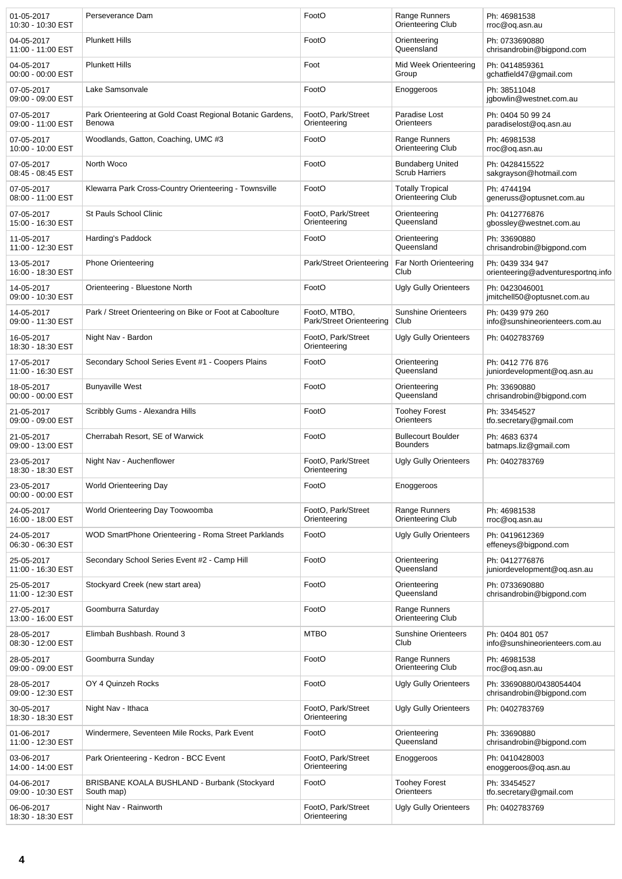| 01-05-2017<br>10:30 - 10:30 EST | Perseverance Dam                                                    | FootO                                    | Range Runners<br>Orienteering Club               | Ph: 46981538<br>rroc@oq.asn.au                         |
|---------------------------------|---------------------------------------------------------------------|------------------------------------------|--------------------------------------------------|--------------------------------------------------------|
| 04-05-2017<br>11:00 - 11:00 EST | <b>Plunkett Hills</b>                                               | FootO                                    | Orienteering<br>Queensland                       | Ph: 0733690880<br>chrisandrobin@bigpond.com            |
| 04-05-2017<br>00:00 - 00:00 EST | <b>Plunkett Hills</b>                                               | Foot                                     | Mid Week Orienteering<br>Group                   | Ph: 0414859361<br>gchatfield47@gmail.com               |
| 07-05-2017<br>09:00 - 09:00 EST | Lake Samsonvale                                                     | FootO                                    | Enoggeroos                                       | Ph: 38511048<br>jgbowlin@westnet.com.au                |
| 07-05-2017<br>09:00 - 11:00 EST | Park Orienteering at Gold Coast Regional Botanic Gardens,<br>Benowa | FootO, Park/Street<br>Orienteering       | Paradise Lost<br>Orienteers                      | Ph: 0404 50 99 24<br>paradiselost@oq.asn.au            |
| 07-05-2017<br>10:00 - 10:00 EST | Woodlands, Gatton, Coaching, UMC #3                                 | FootO                                    | Range Runners<br>Orienteering Club               | Ph: 46981538<br>rroc@oq.asn.au                         |
| 07-05-2017<br>08:45 - 08:45 EST | North Woco                                                          | FootO                                    | <b>Bundaberg United</b><br><b>Scrub Harriers</b> | Ph: 0428415522<br>sakgrayson@hotmail.com               |
| 07-05-2017<br>08:00 - 11:00 EST | Klewarra Park Cross-Country Orienteering - Townsville               | FootO                                    | <b>Totally Tropical</b><br>Orienteering Club     | Ph: 4744194<br>generuss@optusnet.com.au                |
| 07-05-2017<br>15:00 - 16:30 EST | St Pauls School Clinic                                              | FootO, Park/Street<br>Orienteering       | Orienteering<br>Queensland                       | Ph: 0412776876<br>gbossley@westnet.com.au              |
| 11-05-2017<br>11:00 - 12:30 EST | Harding's Paddock                                                   | FootO                                    | Orienteering<br>Queensland                       | Ph: 33690880<br>chrisandrobin@bigpond.com              |
| 13-05-2017<br>16:00 - 18:30 EST | <b>Phone Orienteering</b>                                           | Park/Street Orienteering                 | Far North Orienteering<br>Club                   | Ph: 0439 334 947<br>orienteering@adventuresportng.info |
| 14-05-2017<br>09:00 - 10:30 EST | Orienteering - Bluestone North                                      | FootO                                    | <b>Ugly Gully Orienteers</b>                     | Ph: 0423046001<br>jmitchell50@optusnet.com.au          |
| 14-05-2017<br>09:00 - 11:30 EST | Park / Street Orienteering on Bike or Foot at Caboolture            | FootO, MTBO,<br>Park/Street Orienteering | <b>Sunshine Orienteers</b><br>Club               | Ph: 0439 979 260<br>info@sunshineorienteers.com.au     |
| 16-05-2017<br>18:30 - 18:30 EST | Night Nav - Bardon                                                  | FootO, Park/Street<br>Orienteering       | <b>Ugly Gully Orienteers</b>                     | Ph: 0402783769                                         |
| 17-05-2017<br>11:00 - 16:30 EST | Secondary School Series Event #1 - Coopers Plains                   | FootO                                    | Orienteering<br>Queensland                       | Ph: 0412 776 876<br>juniordevelopment@oq.asn.au        |
| 18-05-2017<br>00:00 - 00:00 EST | <b>Bunyaville West</b>                                              | FootO                                    | Orienteering<br>Queensland                       | Ph: 33690880<br>chrisandrobin@bigpond.com              |
| 21-05-2017<br>09:00 - 09:00 EST | Scribbly Gums - Alexandra Hills                                     | FootO                                    | <b>Toohey Forest</b><br>Orienteers               | Ph: 33454527<br>tfo.secretary@gmail.com                |
| 21-05-2017<br>09:00 - 13:00 EST | Cherrabah Resort, SE of Warwick                                     | FootO                                    | <b>Bullecourt Boulder</b><br><b>Bounders</b>     | Ph: 4683 6374<br>batmaps.liz@gmail.com                 |
| 23-05-2017<br>18:30 - 18:30 EST | Night Nav - Auchenflower                                            | FootO, Park/Street<br>Orienteering       | <b>Ugly Gully Orienteers</b>                     | Ph: 0402783769                                         |
| 23-05-2017<br>00:00 - 00:00 EST | World Orienteering Day                                              | FootO                                    | Enoggeroos                                       |                                                        |
| 24-05-2017<br>16:00 - 18:00 EST | World Orienteering Day Toowoomba                                    | FootO, Park/Street<br>Orienteering       | Range Runners<br>Orienteering Club               | Ph: 46981538<br>rroc@oq.asn.au                         |
| 24-05-2017<br>06:30 - 06:30 EST | WOD SmartPhone Orienteering - Roma Street Parklands                 | FootO                                    | <b>Ugly Gully Orienteers</b>                     | Ph: 0419612369<br>effeneys@bigpond.com                 |
| 25-05-2017<br>11:00 - 16:30 EST | Secondary School Series Event #2 - Camp Hill                        | FootO                                    | Orienteering<br>Queensland                       | Ph: 0412776876<br>juniordevelopment@oq.asn.au          |
| 25-05-2017<br>11:00 - 12:30 EST | Stockyard Creek (new start area)                                    | FootO                                    | Orienteering<br>Queensland                       | Ph: 0733690880<br>chrisandrobin@bigpond.com            |
| 27-05-2017<br>13:00 - 16:00 EST | Goomburra Saturday                                                  | FootO                                    | Range Runners<br>Orienteering Club               |                                                        |
| 28-05-2017<br>08:30 - 12:00 EST | Elimbah Bushbash. Round 3                                           | <b>MTBO</b>                              | <b>Sunshine Orienteers</b><br>Club               | Ph: 0404 801 057<br>info@sunshineorienteers.com.au     |
| 28-05-2017<br>09:00 - 09:00 EST | Goomburra Sunday                                                    | FootO                                    | Range Runners<br>Orienteering Club               | Ph: 46981538<br>rroc@oq.asn.au                         |
| 28-05-2017<br>09:00 - 12:30 EST | OY 4 Quinzeh Rocks                                                  | FootO                                    | <b>Ugly Gully Orienteers</b>                     | Ph: 33690880/0438054404<br>chrisandrobin@bigpond.com   |
| 30-05-2017<br>18:30 - 18:30 EST | Night Nav - Ithaca                                                  | FootO, Park/Street<br>Orienteering       | <b>Ugly Gully Orienteers</b>                     | Ph: 0402783769                                         |
| 01-06-2017<br>11:00 - 12:30 EST | Windermere, Seventeen Mile Rocks, Park Event                        | FootO                                    | Orienteering<br>Queensland                       | Ph: 33690880<br>chrisandrobin@bigpond.com              |
| 03-06-2017<br>14:00 - 14:00 EST | Park Orienteering - Kedron - BCC Event                              | FootO, Park/Street<br>Orienteering       | Enoggeroos                                       | Ph: 0410428003<br>enoggeroos@oq.asn.au                 |
| 04-06-2017<br>09:00 - 10:30 EST | BRISBANE KOALA BUSHLAND - Burbank (Stockyard<br>South map)          | FootO                                    | <b>Toohey Forest</b><br>Orienteers               | Ph: 33454527<br>tfo.secretary@gmail.com                |
| 06-06-2017<br>18:30 - 18:30 EST | Night Nav - Rainworth                                               | FootO, Park/Street<br>Orienteering       | <b>Ugly Gully Orienteers</b>                     | Ph: 0402783769                                         |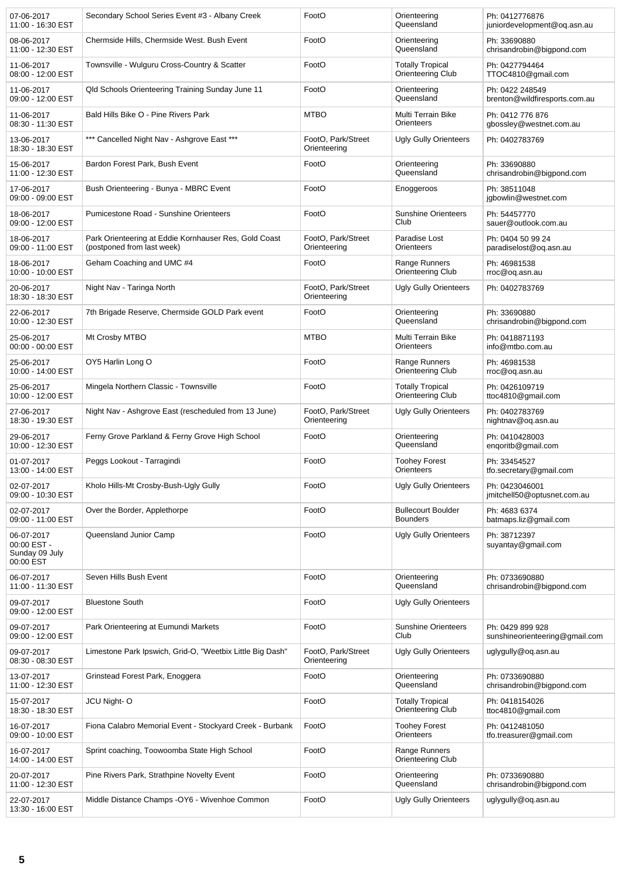| 07-06-2017<br>11:00 - 16:30 EST                          | Secondary School Series Event #3 - Albany Creek                                     | FootO                              | Orienteering<br>Queensland                          | Ph: 0412776876<br>juniordevelopment@oq.asn.au      |
|----------------------------------------------------------|-------------------------------------------------------------------------------------|------------------------------------|-----------------------------------------------------|----------------------------------------------------|
| 08-06-2017<br>11:00 - 12:30 EST                          | Chermside Hills, Chermside West. Bush Event                                         | FootO                              | Orienteering<br>Queensland                          | Ph: 33690880<br>chrisandrobin@bigpond.com          |
| 11-06-2017<br>08:00 - 12:00 EST                          | Townsville - Wulguru Cross-Country & Scatter                                        | FootO                              | <b>Totally Tropical</b><br><b>Orienteering Club</b> | Ph: 0427794464<br>TTOC4810@gmail.com               |
| 11-06-2017<br>09:00 - 12:00 EST                          | Qld Schools Orienteering Training Sunday June 11                                    | FootO                              | Orienteering<br>Queensland                          | Ph: 0422 248549<br>brenton@wildfiresports.com.au   |
| 11-06-2017<br>08:30 - 11:30 EST                          | Bald Hills Bike O - Pine Rivers Park                                                | <b>MTBO</b>                        | Multi Terrain Bike<br>Orienteers                    | Ph: 0412 776 876<br>gbossley@westnet.com.au        |
| 13-06-2017<br>18:30 - 18:30 EST                          | *** Cancelled Night Nav - Ashgrove East ***                                         | FootO, Park/Street<br>Orienteering | <b>Ugly Gully Orienteers</b>                        | Ph: 0402783769                                     |
| 15-06-2017<br>11:00 - 12:30 EST                          | Bardon Forest Park, Bush Event                                                      | FootO                              | Orienteering<br>Queensland                          | Ph: 33690880<br>chrisandrobin@bigpond.com          |
| 17-06-2017<br>09:00 - 09:00 EST                          | Bush Orienteering - Bunya - MBRC Event                                              | FootO                              | Enoggeroos                                          | Ph: 38511048<br>jgbowlin@westnet.com               |
| 18-06-2017<br>09:00 - 12:00 EST                          | Pumicestone Road - Sunshine Orienteers                                              | FootO                              | <b>Sunshine Orienteers</b><br>Club                  | Ph: 54457770<br>sauer@outlook.com.au               |
| 18-06-2017<br>09:00 - 11:00 EST                          | Park Orienteering at Eddie Kornhauser Res, Gold Coast<br>(postponed from last week) | FootO. Park/Street<br>Orienteering | Paradise Lost<br>Orienteers                         | Ph: 0404 50 99 24<br>paradiselost@oq.asn.au        |
| 18-06-2017<br>10:00 - 10:00 EST                          | Geham Coaching and UMC #4                                                           | FootO                              | Range Runners<br>Orienteering Club                  | Ph: 46981538<br>rroc@oq.asn.au                     |
| 20-06-2017<br>18:30 - 18:30 EST                          | Night Nav - Taringa North                                                           | FootO, Park/Street<br>Orienteering | <b>Ugly Gully Orienteers</b>                        | Ph: 0402783769                                     |
| 22-06-2017<br>10:00 - 12:30 EST                          | 7th Brigade Reserve, Chermside GOLD Park event                                      | FootO                              | Orienteering<br>Queensland                          | Ph: 33690880<br>chrisandrobin@bigpond.com          |
| 25-06-2017<br>00:00 - 00:00 EST                          | Mt Crosby MTBO                                                                      | <b>MTBO</b>                        | Multi Terrain Bike<br>Orienteers                    | Ph: 0418871193<br>info@mtbo.com.au                 |
| 25-06-2017<br>10:00 - 14:00 EST                          | OY5 Harlin Long O                                                                   | FootO                              | Range Runners<br><b>Orienteering Club</b>           | Ph: 46981538<br>rroc@oq.asn.au                     |
| 25-06-2017<br>10:00 - 12:00 EST                          | Mingela Northern Classic - Townsville                                               | FootO                              | <b>Totally Tropical</b><br>Orienteering Club        | Ph: 0426109719<br>ttoc4810@gmail.com               |
| 27-06-2017<br>18:30 - 19:30 EST                          | Night Nav - Ashgrove East (rescheduled from 13 June)                                | FootO, Park/Street<br>Orienteering | <b>Ugly Gully Orienteers</b>                        | Ph: 0402783769<br>nightnav@oq.asn.au               |
| 29-06-2017<br>10:00 - 12:30 EST                          | Ferny Grove Parkland & Ferny Grove High School                                      | FootO                              | Orienteering<br>Queensland                          | Ph: 0410428003<br>enqoritb@gmail.com               |
| 01-07-2017<br>13:00 - 14:00 EST                          | Peggs Lookout - Tarragindi                                                          | FootO                              | <b>Toohey Forest</b><br>Orienteers                  | Ph: 33454527<br>tfo.secretary@gmail.com            |
| 02-07-2017<br>09:00 - 10:30 EST                          | Kholo Hills-Mt Crosby-Bush-Ugly Gully                                               | FootO                              | <b>Ugly Gully Orienteers</b>                        | Ph: 0423046001<br>jmitchell50@optusnet.com.au      |
| 02-07-2017<br>09:00 - 11:00 EST                          | Over the Border, Applethorpe                                                        | FootO                              | <b>Bullecourt Boulder</b><br><b>Bounders</b>        | Ph: 4683 6374<br>batmaps.liz@gmail.com             |
| 06-07-2017<br>00:00 EST -<br>Sunday 09 July<br>00:00 EST | Queensland Junior Camp                                                              | FootO                              | <b>Ugly Gully Orienteers</b>                        | Ph: 38712397<br>suyantay@gmail.com                 |
| 06-07-2017<br>11:00 - 11:30 EST                          | Seven Hills Bush Event                                                              | FootO                              | Orienteering<br>Queensland                          | Ph: 0733690880<br>chrisandrobin@bigpond.com        |
| 09-07-2017<br>09:00 - 12:00 EST                          | <b>Bluestone South</b>                                                              | FootO                              | <b>Ugly Gully Orienteers</b>                        |                                                    |
| 09-07-2017<br>09:00 - 12:00 EST                          | Park Orienteering at Eumundi Markets                                                | FootO                              | <b>Sunshine Orienteers</b><br>Club                  | Ph: 0429 899 928<br>sunshineorienteering@gmail.com |
| 09-07-2017<br>08:30 - 08:30 EST                          | Limestone Park Ipswich, Grid-O, "Weetbix Little Big Dash"                           | FootO, Park/Street<br>Orienteering | <b>Ugly Gully Orienteers</b>                        | uglygully@oq.asn.au                                |
| 13-07-2017<br>11:00 - 12:30 EST                          | Grinstead Forest Park, Enoggera                                                     | FootO                              | Orienteering<br>Queensland                          | Ph: 0733690880<br>chrisandrobin@bigpond.com        |
| 15-07-2017<br>18:30 - 18:30 EST                          | JCU Night-O                                                                         | FootO                              | <b>Totally Tropical</b><br>Orienteering Club        | Ph: 0418154026<br>ttoc4810@gmail.com               |
| 16-07-2017<br>09:00 - 10:00 EST                          | Fiona Calabro Memorial Event - Stockyard Creek - Burbank                            | FootO                              | <b>Toohey Forest</b><br>Orienteers                  | Ph: 0412481050<br>tfo.treasurer@gmail.com          |
| 16-07-2017<br>14:00 - 14:00 EST                          | Sprint coaching, Toowoomba State High School                                        | FootO                              | Range Runners<br><b>Orienteering Club</b>           |                                                    |
| 20-07-2017<br>11:00 - 12:30 EST                          | Pine Rivers Park, Strathpine Novelty Event                                          | FootO                              | Orienteering<br>Queensland                          | Ph: 0733690880<br>chrisandrobin@bigpond.com        |
| 22-07-2017<br>13:30 - 16:00 EST                          | Middle Distance Champs - OY6 - Wivenhoe Common                                      | FootO                              | <b>Ugly Gully Orienteers</b>                        | uglygully@oq.asn.au                                |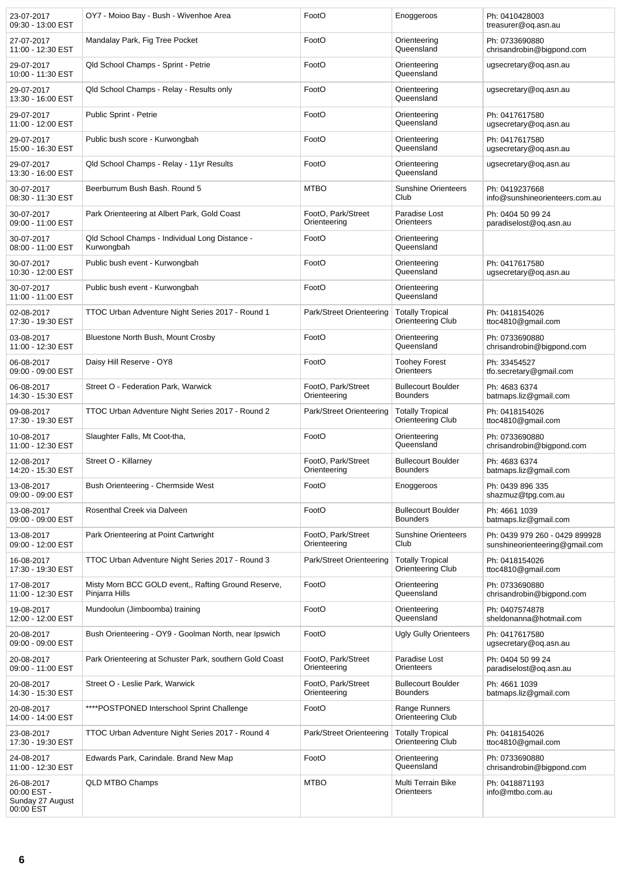| 23-07-2017<br>09:30 - 13:00 EST                            | OY7 - Moioo Bay - Bush - Wivenhoe Area                                | FootO                              | Enoggeroos                                          | Ph: 0410428003<br>treasurer@oq.asn.au                            |
|------------------------------------------------------------|-----------------------------------------------------------------------|------------------------------------|-----------------------------------------------------|------------------------------------------------------------------|
| 27-07-2017<br>11:00 - 12:30 EST                            | Mandalay Park, Fig Tree Pocket                                        | FootO                              | Orienteering<br>Queensland                          | Ph: 0733690880<br>chrisandrobin@bigpond.com                      |
| 29-07-2017<br>10:00 - 11:30 EST                            | Qld School Champs - Sprint - Petrie                                   | FootO                              | Orienteering<br>Queensland                          | ugsecretary@og.asn.au                                            |
| 29-07-2017<br>13:30 - 16:00 EST                            | Qld School Champs - Relay - Results only                              | FootO                              | Orienteering<br>Queensland                          | ugsecretary@og.asn.au                                            |
| 29-07-2017<br>11:00 - 12:00 EST                            | Public Sprint - Petrie                                                | FootO                              | Orienteering<br>Queensland                          | Ph: 0417617580<br>ugsecretary@oq.asn.au                          |
| 29-07-2017<br>15:00 - 16:30 EST                            | Public bush score - Kurwongbah                                        | FootO                              | Orienteering<br>Queensland                          | Ph: 0417617580<br>ugsecretary@oq.asn.au                          |
| 29-07-2017<br>13:30 - 16:00 EST                            | Qld School Champs - Relay - 11yr Results                              | FootO                              | Orienteering<br>Queensland                          | ugsecretary@og.asn.au                                            |
| 30-07-2017<br>08:30 - 11:30 EST                            | Beerburrum Bush Bash. Round 5                                         | <b>MTBO</b>                        | <b>Sunshine Orienteers</b><br>Club                  | Ph: 0419237668<br>info@sunshineorienteers.com.au                 |
| 30-07-2017<br>09:00 - 11:00 EST                            | Park Orienteering at Albert Park, Gold Coast                          | FootO, Park/Street<br>Orienteering | Paradise Lost<br>Orienteers                         | Ph: 0404 50 99 24<br>paradiselost@og.asn.au                      |
| 30-07-2017<br>08:00 - 11:00 EST                            | Qld School Champs - Individual Long Distance -<br>Kurwongbah          | FootO                              | Orienteering<br>Queensland                          |                                                                  |
| 30-07-2017<br>10:30 - 12:00 EST                            | Public bush event - Kurwongbah                                        | FootO                              | Orienteering<br>Queensland                          | Ph: 0417617580<br>ugsecretary@oq.asn.au                          |
| 30-07-2017<br>11:00 - 11:00 EST                            | Public bush event - Kurwongbah                                        | FootO                              | Orienteering<br>Queensland                          |                                                                  |
| 02-08-2017<br>17:30 - 19:30 EST                            | TTOC Urban Adventure Night Series 2017 - Round 1                      | Park/Street Orienteering           | <b>Totally Tropical</b><br><b>Orienteering Club</b> | Ph: 0418154026<br>ttoc4810@gmail.com                             |
| 03-08-2017<br>11:00 - 12:30 EST                            | Bluestone North Bush, Mount Crosby                                    | FootO                              | Orienteering<br>Queensland                          | Ph: 0733690880<br>chrisandrobin@bigpond.com                      |
| 06-08-2017<br>09:00 - 09:00 EST                            | Daisy Hill Reserve - OY8                                              | FootO                              | <b>Toohey Forest</b><br>Orienteers                  | Ph: 33454527<br>tfo.secretary@gmail.com                          |
| 06-08-2017<br>14:30 - 15:30 EST                            | Street O - Federation Park, Warwick                                   | FootO, Park/Street<br>Orienteering | <b>Bullecourt Boulder</b><br><b>Bounders</b>        | Ph: 4683 6374<br>batmaps.liz@gmail.com                           |
| 09-08-2017<br>17:30 - 19:30 EST                            | TTOC Urban Adventure Night Series 2017 - Round 2                      | Park/Street Orienteering           | <b>Totally Tropical</b><br>Orienteering Club        | Ph: 0418154026<br>ttoc4810@gmail.com                             |
| 10-08-2017<br>11:00 - 12:30 EST                            | Slaughter Falls, Mt Coot-tha,                                         | FootO                              | Orienteering<br>Queensland                          | Ph: 0733690880<br>chrisandrobin@bigpond.com                      |
| 12-08-2017<br>14:20 - 15:30 EST                            | Street O - Killarney                                                  | FootO, Park/Street<br>Orienteering | <b>Bullecourt Boulder</b><br><b>Bounders</b>        | Ph: 4683 6374<br>batmaps.liz@gmail.com                           |
| 13-08-2017<br>09:00 - 09:00 EST                            | Bush Orienteering - Chermside West                                    | FootO                              | Enoggeroos                                          | Ph: 0439 896 335<br>shazmuz@tpg.com.au                           |
| 13-08-2017<br>09:00 - 09:00 EST                            | Rosenthal Creek via Dalveen                                           | FootO                              | <b>Bullecourt Boulder</b><br><b>Bounders</b>        | Ph: 4661 1039<br>batmaps.liz@gmail.com                           |
| 13-08-2017<br>09:00 - 12:00 EST                            | Park Orienteering at Point Cartwright                                 | FootO, Park/Street<br>Orienteering | <b>Sunshine Orienteers</b><br>Club                  | Ph: 0439 979 260 - 0429 899928<br>sunshineorienteering@gmail.com |
| 16-08-2017<br>17:30 - 19:30 EST                            | TTOC Urban Adventure Night Series 2017 - Round 3                      | Park/Street Orienteering           | <b>Totally Tropical</b><br><b>Orienteering Club</b> | Ph: 0418154026<br>ttoc4810@gmail.com                             |
| 17-08-2017<br>11:00 - 12:30 EST                            | Misty Morn BCC GOLD event,, Rafting Ground Reserve,<br>Pinjarra Hills | FootO                              | Orienteering<br>Queensland                          | Ph: 0733690880<br>chrisandrobin@bigpond.com                      |
| 19-08-2017<br>12:00 - 12:00 EST                            | Mundoolun (Jimboomba) training                                        | FootO                              | Orienteering<br>Queensland                          | Ph: 0407574878<br>sheldonanna@hotmail.com                        |
| 20-08-2017<br>09:00 - 09:00 EST                            | Bush Orienteering - OY9 - Goolman North, near Ipswich                 | FootO                              | <b>Ugly Gully Orienteers</b>                        | Ph: 0417617580<br>ugsecretary@oq.asn.au                          |
| 20-08-2017<br>09:00 - 11:00 EST                            | Park Orienteering at Schuster Park, southern Gold Coast               | FootO, Park/Street<br>Orienteering | Paradise Lost<br>Orienteers                         | Ph: 0404 50 99 24<br>paradiselost@oq.asn.au                      |
| 20-08-2017<br>14:30 - 15:30 EST                            | Street O - Leslie Park, Warwick                                       | FootO, Park/Street<br>Orienteering | <b>Bullecourt Boulder</b><br><b>Bounders</b>        | Ph: 4661 1039<br>batmaps.liz@gmail.com                           |
| 20-08-2017<br>14:00 - 14:00 EST                            | ****POSTPONED Interschool Sprint Challenge                            | FootO                              | Range Runners<br><b>Orienteering Club</b>           |                                                                  |
| 23-08-2017<br>17:30 - 19:30 EST                            | TTOC Urban Adventure Night Series 2017 - Round 4                      | Park/Street Orienteering           | <b>Totally Tropical</b><br><b>Orienteering Club</b> | Ph: 0418154026<br>ttoc4810@gmail.com                             |
| 24-08-2017<br>11:00 - 12:30 EST                            | Edwards Park, Carindale. Brand New Map                                | FootO                              | Orienteering<br>Queensland                          | Ph: 0733690880<br>chrisandrobin@bigpond.com                      |
| 26-08-2017<br>00:00 EST -<br>Sunday 27 August<br>00:00 EST | QLD MTBO Champs                                                       | <b>MTBO</b>                        | Multi Terrain Bike<br>Orienteers                    | Ph: 0418871193<br>info@mtbo.com.au                               |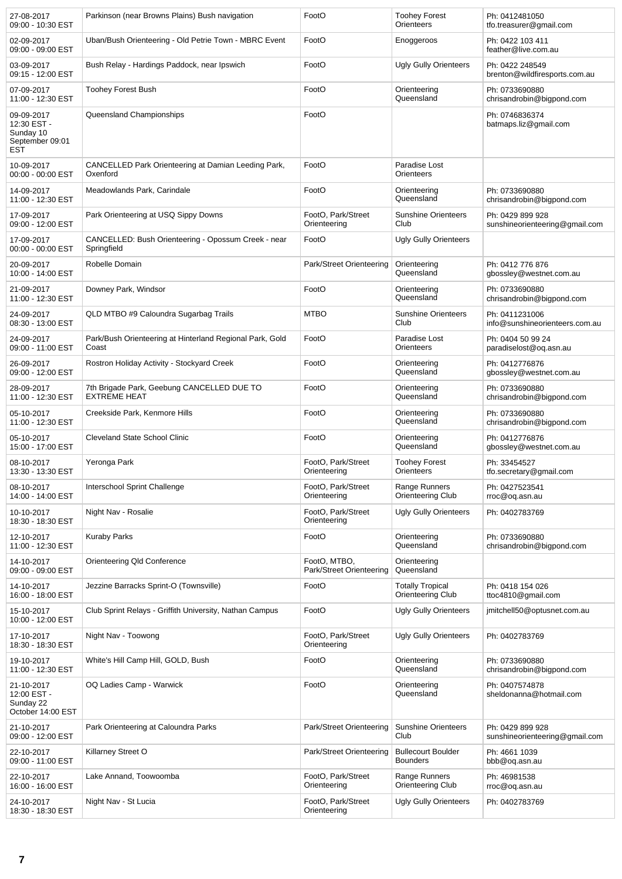| 27-08-2017<br>09:00 - 10:30 EST                                  | Parkinson (near Browns Plains) Bush navigation                     | FootO                                    | <b>Toohey Forest</b><br>Orienteers           | Ph: 0412481050<br>tfo.treasurer@gmail.com          |
|------------------------------------------------------------------|--------------------------------------------------------------------|------------------------------------------|----------------------------------------------|----------------------------------------------------|
| 02-09-2017<br>09:00 - 09:00 EST                                  | Uban/Bush Orienteering - Old Petrie Town - MBRC Event              | FootO                                    | Enoggeroos                                   | Ph: 0422 103 411<br>feather@live.com.au            |
| 03-09-2017<br>09:15 - 12:00 EST                                  | Bush Relay - Hardings Paddock, near Ipswich                        | FootO                                    | <b>Ugly Gully Orienteers</b>                 | Ph: 0422 248549<br>brenton@wildfiresports.com.au   |
| 07-09-2017<br>11:00 - 12:30 EST                                  | <b>Toohey Forest Bush</b>                                          | FootO                                    | Orienteering<br>Queensland                   | Ph: 0733690880<br>chrisandrobin@bigpond.com        |
| 09-09-2017<br>12:30 EST -<br>Sunday 10<br>September 09:01<br>EST | Queensland Championships                                           | FootO                                    |                                              | Ph: 0746836374<br>batmaps.liz@gmail.com            |
| 10-09-2017<br>00:00 - 00:00 EST                                  | CANCELLED Park Orienteering at Damian Leeding Park,<br>Oxenford    | FootO                                    | Paradise Lost<br>Orienteers                  |                                                    |
| 14-09-2017<br>11:00 - 12:30 EST                                  | Meadowlands Park, Carindale                                        | FootO                                    | Orienteering<br>Queensland                   | Ph: 0733690880<br>chrisandrobin@bigpond.com        |
| 17-09-2017<br>09:00 - 12:00 EST                                  | Park Orienteering at USQ Sippy Downs                               | FootO, Park/Street<br>Orienteering       | <b>Sunshine Orienteers</b><br>Club           | Ph: 0429 899 928<br>sunshineorienteering@gmail.com |
| 17-09-2017<br>00:00 - 00:00 EST                                  | CANCELLED: Bush Orienteering - Opossum Creek - near<br>Springfield | FootO                                    | <b>Ugly Gully Orienteers</b>                 |                                                    |
| 20-09-2017<br>10:00 - 14:00 EST                                  | Robelle Domain                                                     | Park/Street Orienteering                 | Orienteering<br>Queensland                   | Ph: 0412 776 876<br>gbossley@westnet.com.au        |
| 21-09-2017<br>11:00 - 12:30 EST                                  | Downey Park, Windsor                                               | FootO                                    | Orienteering<br>Queensland                   | Ph: 0733690880<br>chrisandrobin@bigpond.com        |
| 24-09-2017<br>08:30 - 13:00 EST                                  | QLD MTBO #9 Caloundra Sugarbag Trails                              | <b>MTBO</b>                              | <b>Sunshine Orienteers</b><br>Club           | Ph: 0411231006<br>info@sunshineorienteers.com.au   |
| 24-09-2017<br>09:00 - 11:00 EST                                  | Park/Bush Orienteering at Hinterland Regional Park, Gold<br>Coast  | FootO                                    | Paradise Lost<br>Orienteers                  | Ph: 0404 50 99 24<br>paradiselost@oq.asn.au        |
| 26-09-2017<br>09:00 - 12:00 EST                                  | Rostron Holiday Activity - Stockyard Creek                         | FootO                                    | Orienteering<br>Queensland                   | Ph: 0412776876<br>gbossley@westnet.com.au          |
| 28-09-2017<br>11:00 - 12:30 EST                                  | 7th Brigade Park, Geebung CANCELLED DUE TO<br><b>EXTREME HEAT</b>  | FootO                                    | Orienteering<br>Queensland                   | Ph: 0733690880<br>chrisandrobin@bigpond.com        |
| 05-10-2017<br>11:00 - 12:30 EST                                  | Creekside Park, Kenmore Hills                                      | FootO                                    | Orienteering<br>Queensland                   | Ph: 0733690880<br>chrisandrobin@bigpond.com        |
| 05-10-2017<br>15:00 - 17:00 EST                                  | <b>Cleveland State School Clinic</b>                               | FootO                                    | Orienteering<br>Queensland                   | Ph: 0412776876<br>gbossley@westnet.com.au          |
| 08-10-2017<br>13:30 - 13:30 EST                                  | Yeronga Park                                                       | FootO, Park/Street<br>Orienteering       | <b>Toohey Forest</b><br>Orienteers           | Ph: 33454527<br>tfo.secretary@gmail.com            |
| 08-10-2017<br>14:00 - 14:00 EST                                  | Interschool Sprint Challenge                                       | FootO, Park/Street<br>Orienteering       | Range Runners<br>Orienteering Club           | Ph: 0427523541<br>rroc@oq.asn.au                   |
| 10-10-2017<br>18:30 - 18:30 EST                                  | Night Nav - Rosalie                                                | FootO, Park/Street<br>Orienteering       | <b>Ugly Gully Orienteers</b>                 | Ph: 0402783769                                     |
| 12-10-2017<br>11:00 - 12:30 EST                                  | <b>Kuraby Parks</b>                                                | FootO                                    | Orienteering<br>Queensland                   | Ph: 0733690880<br>chrisandrobin@bigpond.com        |
| 14-10-2017<br>09:00 - 09:00 EST                                  | Orienteering Qld Conference                                        | FootO, MTBO,<br>Park/Street Orienteering | Orienteering<br>Queensland                   |                                                    |
| 14-10-2017<br>16:00 - 18:00 EST                                  | Jezzine Barracks Sprint-O (Townsville)                             | FootO                                    | <b>Totally Tropical</b><br>Orienteering Club | Ph: 0418 154 026<br>ttoc4810@gmail.com             |
| 15-10-2017<br>10:00 - 12:00 EST                                  | Club Sprint Relays - Griffith University, Nathan Campus            | FootO                                    | <b>Ugly Gully Orienteers</b>                 | jmitchell50@optusnet.com.au                        |
| 17-10-2017<br>18:30 - 18:30 EST                                  | Night Nav - Toowong                                                | FootO, Park/Street<br>Orienteering       | <b>Ugly Gully Orienteers</b>                 | Ph: 0402783769                                     |
| 19-10-2017<br>11:00 - 12:30 EST                                  | White's Hill Camp Hill, GOLD, Bush                                 | FootO                                    | Orienteering<br>Queensland                   | Ph: 0733690880<br>chrisandrobin@bigpond.com        |
| 21-10-2017<br>12:00 EST -<br>Sunday 22<br>October 14:00 EST      | OQ Ladies Camp - Warwick                                           | FootO                                    | Orienteering<br>Queensland                   | Ph: 0407574878<br>sheldonanna@hotmail.com          |
| 21-10-2017<br>09:00 - 12:00 EST                                  | Park Orienteering at Caloundra Parks                               | Park/Street Orienteering                 | <b>Sunshine Orienteers</b><br>Club           | Ph: 0429 899 928<br>sunshineorienteering@gmail.com |
| 22-10-2017<br>09:00 - 11:00 EST                                  | Killarney Street O                                                 | Park/Street Orienteering                 | <b>Bullecourt Boulder</b><br><b>Bounders</b> | Ph: 4661 1039<br>bbb@oq.asn.au                     |
| 22-10-2017<br>16:00 - 16:00 EST                                  | Lake Annand, Toowoomba                                             | FootO, Park/Street<br>Orienteering       | Range Runners<br>Orienteering Club           | Ph: 46981538<br>rroc@oq.asn.au                     |
| 24-10-2017<br>18:30 - 18:30 EST                                  | Night Nav - St Lucia                                               | FootO, Park/Street<br>Orienteering       | <b>Ugly Gully Orienteers</b>                 | Ph: 0402783769                                     |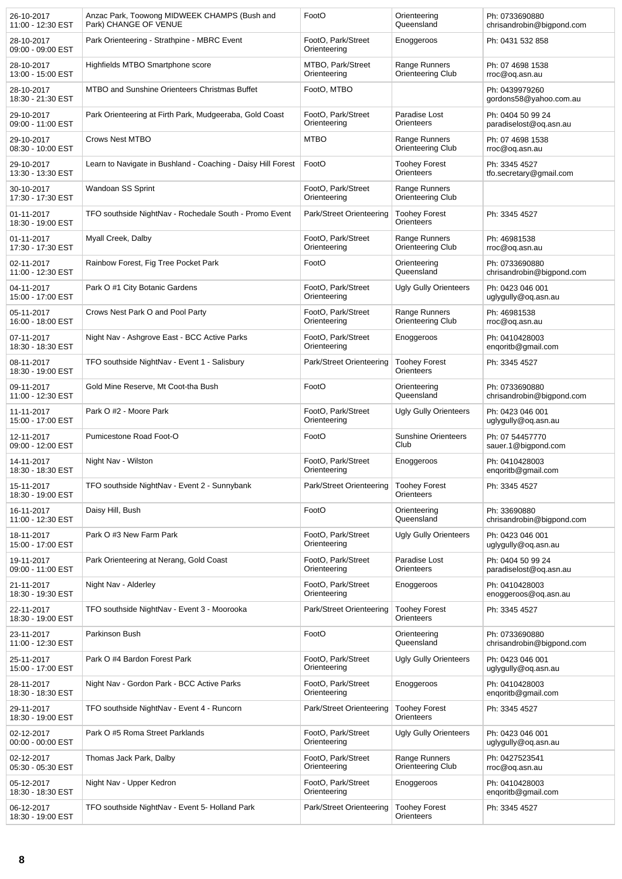| 26-10-2017<br>11:00 - 12:30 EST | Anzac Park, Toowong MIDWEEK CHAMPS (Bush and<br>Park) CHANGE OF VENUE | FootO                              | Orienteering<br>Queensland         | Ph: 0733690880<br>chrisandrobin@bigpond.com |
|---------------------------------|-----------------------------------------------------------------------|------------------------------------|------------------------------------|---------------------------------------------|
| 28-10-2017<br>09:00 - 09:00 EST | Park Orienteering - Strathpine - MBRC Event                           | FootO, Park/Street<br>Orienteering | Enoggeroos                         | Ph: 0431 532 858                            |
| 28-10-2017<br>13:00 - 15:00 EST | Highfields MTBO Smartphone score                                      | MTBO, Park/Street<br>Orienteering  | Range Runners<br>Orienteering Club | Ph: 07 4698 1538<br>rroc@oq.asn.au          |
| 28-10-2017<br>18:30 - 21:30 EST | MTBO and Sunshine Orienteers Christmas Buffet                         | FootO, MTBO                        |                                    | Ph: 0439979260<br>gordons58@yahoo.com.au    |
| 29-10-2017<br>09:00 - 11:00 EST | Park Orienteering at Firth Park, Mudgeeraba, Gold Coast               | FootO, Park/Street<br>Orienteering | Paradise Lost<br>Orienteers        | Ph: 0404 50 99 24<br>paradiselost@oq.asn.au |
| 29-10-2017<br>08:30 - 10:00 EST | <b>Crows Nest MTBO</b>                                                | <b>MTBO</b>                        | Range Runners<br>Orienteering Club | Ph: 07 4698 1538<br>rroc@oq.asn.au          |
| 29-10-2017<br>13:30 - 13:30 EST | Learn to Navigate in Bushland - Coaching - Daisy Hill Forest          | FootO                              | <b>Toohey Forest</b><br>Orienteers | Ph: 3345 4527<br>tfo.secretary@gmail.com    |
| 30-10-2017<br>17:30 - 17:30 EST | Wandoan SS Sprint                                                     | FootO, Park/Street<br>Orienteering | Range Runners<br>Orienteering Club |                                             |
| 01-11-2017<br>18:30 - 19:00 EST | TFO southside NightNav - Rochedale South - Promo Event                | Park/Street Orienteering           | <b>Toohey Forest</b><br>Orienteers | Ph: 3345 4527                               |
| 01-11-2017<br>17:30 - 17:30 EST | Myall Creek, Dalby                                                    | FootO, Park/Street<br>Orienteering | Range Runners<br>Orienteering Club | Ph: 46981538<br>rroc@oq.asn.au              |
| 02-11-2017<br>11:00 - 12:30 EST | Rainbow Forest, Fig Tree Pocket Park                                  | FootO                              | Orienteering<br>Queensland         | Ph: 0733690880<br>chrisandrobin@bigpond.com |
| 04-11-2017<br>15:00 - 17:00 EST | Park O #1 City Botanic Gardens                                        | FootO, Park/Street<br>Orienteering | <b>Ugly Gully Orienteers</b>       | Ph: 0423 046 001<br>uglygully@oq.asn.au     |
| 05-11-2017<br>16:00 - 18:00 EST | Crows Nest Park O and Pool Party                                      | FootO, Park/Street<br>Orienteering | Range Runners<br>Orienteering Club | Ph: 46981538<br>rroc@oq.asn.au              |
| 07-11-2017<br>18:30 - 18:30 EST | Night Nav - Ashgrove East - BCC Active Parks                          | FootO, Park/Street<br>Orienteering | Enoggeroos                         | Ph: 0410428003<br>enqoritb@gmail.com        |
| 08-11-2017<br>18:30 - 19:00 EST | TFO southside NightNav - Event 1 - Salisbury                          | Park/Street Orienteering           | <b>Toohey Forest</b><br>Orienteers | Ph: 3345 4527                               |
| 09-11-2017<br>11:00 - 12:30 EST | Gold Mine Reserve, Mt Coot-tha Bush                                   | FootO                              | Orienteering<br>Queensland         | Ph: 0733690880<br>chrisandrobin@bigpond.com |
| 11-11-2017<br>15:00 - 17:00 EST | Park O #2 - Moore Park                                                | FootO, Park/Street<br>Orienteering | <b>Ugly Gully Orienteers</b>       | Ph: 0423 046 001<br>uglygully@oq.asn.au     |
| 12-11-2017<br>09:00 - 12:00 EST | Pumicestone Road Foot-O                                               | FootO                              | <b>Sunshine Orienteers</b><br>Club | Ph: 07 54457770<br>sauer.1@bigpond.com      |
| 14-11-2017<br>18:30 - 18:30 EST | Night Nav - Wilston                                                   | FootO, Park/Street<br>Orienteering | Enoggeroos                         | Ph: 0410428003<br>engoritb@gmail.com        |
| 15-11-2017<br>18:30 - 19:00 EST | TFO southside NightNav - Event 2 - Sunnybank                          | Park/Street Orienteering           | <b>Toohey Forest</b><br>Orienteers | Ph: 3345 4527                               |
| 16-11-2017<br>11:00 - 12:30 EST | Daisy Hill, Bush                                                      | FootO                              | Orienteering<br>Queensland         | Ph: 33690880<br>chrisandrobin@bigpond.com   |
| 18-11-2017<br>15:00 - 17:00 EST | Park O #3 New Farm Park                                               | FootO, Park/Street<br>Orienteering | Ugly Gully Orienteers              | Ph: 0423 046 001<br>uglygully@oq.asn.au     |
| 19-11-2017<br>09:00 - 11:00 EST | Park Orienteering at Nerang, Gold Coast                               | FootO, Park/Street<br>Orienteering | Paradise Lost<br>Orienteers        | Ph: 0404 50 99 24<br>paradiselost@oq.asn.au |
| 21-11-2017<br>18:30 - 19:30 EST | Night Nav - Alderley                                                  | FootO, Park/Street<br>Orienteering | Enoggeroos                         | Ph: 0410428003<br>enoggeroos@og.asn.au      |
| 22-11-2017<br>18:30 - 19:00 EST | TFO southside NightNav - Event 3 - Moorooka                           | Park/Street Orienteering           | <b>Toohey Forest</b><br>Orienteers | Ph: 3345 4527                               |
| 23-11-2017<br>11:00 - 12:30 EST | Parkinson Bush                                                        | FootO                              | Orienteering<br>Queensland         | Ph: 0733690880<br>chrisandrobin@bigpond.com |
| 25-11-2017<br>15:00 - 17:00 EST | Park O #4 Bardon Forest Park                                          | FootO, Park/Street<br>Orienteering | <b>Ugly Gully Orienteers</b>       | Ph: 0423 046 001<br>uglygully@oq.asn.au     |
| 28-11-2017<br>18:30 - 18:30 EST | Night Nav - Gordon Park - BCC Active Parks                            | FootO, Park/Street<br>Orienteering | Enoggeroos                         | Ph: 0410428003<br>enqoritb@gmail.com        |
| 29-11-2017<br>18:30 - 19:00 EST | TFO southside NightNav - Event 4 - Runcorn                            | Park/Street Orienteering           | <b>Toohey Forest</b><br>Orienteers | Ph: 3345 4527                               |
| 02-12-2017<br>00:00 - 00:00 EST | Park O #5 Roma Street Parklands                                       | FootO, Park/Street<br>Orienteering | <b>Ugly Gully Orienteers</b>       | Ph: 0423 046 001<br>uglygully@oq.asn.au     |
| 02-12-2017<br>05:30 - 05:30 EST | Thomas Jack Park, Dalby                                               | FootO, Park/Street<br>Orienteering | Range Runners<br>Orienteering Club | Ph: 0427523541<br>rroc@oq.asn.au            |
| 05-12-2017<br>18:30 - 18:30 EST | Night Nav - Upper Kedron                                              | FootO, Park/Street<br>Orienteering | Enoggeroos                         | Ph: 0410428003<br>enqoritb@gmail.com        |
| 06-12-2017<br>18:30 - 19:00 EST | TFO southside NightNav - Event 5- Holland Park                        | Park/Street Orienteering           | <b>Toohey Forest</b><br>Orienteers | Ph: 3345 4527                               |